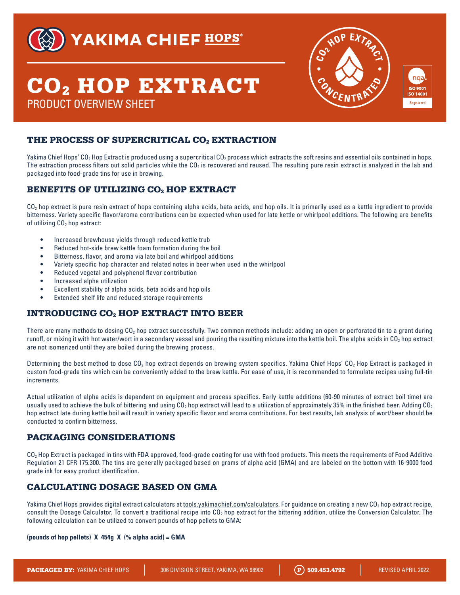

## YAKIMA CHIEF HOPS®

# CO2 HOP EXTRACT PRODUCT OVERVIEW SHEET



## THE PROCESS OF SUPERCRITICAL CO<sub>2</sub> EXTRACTION

Yakima Chief Hops' CO<sub>2</sub> Hop Extract is produced using a supercritical CO<sub>2</sub> process which extracts the soft resins and essential oils contained in hops. The extraction process filters out solid particles while the CO<sub>2</sub> is recovered and reused. The resulting pure resin extract is analyzed in the lab and packaged into food-grade tins for use in brewing.

## BENEFITS OF UTILIZING CO<sub>2</sub> HOP EXTRACT

 $CO<sub>2</sub>$  hop extract is pure resin extract of hops containing alpha acids, beta acids, and hop oils. It is primarily used as a kettle ingredient to provide bitterness. Variety specific flavor/aroma contributions can be expected when used for late kettle or whirlpool additions. The following are benefits of utilizing CO<sub>2</sub> hop extract:

- Increased brewhouse yields through reduced kettle trub
- Reduced hot-side brew kettle foam formation during the boil
- Bitterness, flavor, and aroma via late boil and whirlpool additions
- Variety specific hop character and related notes in beer when used in the whirlpool
- Reduced vegetal and polyphenol flavor contribution
- Increased alpha utilization
- Excellent stability of alpha acids, beta acids and hop oils
- Extended shelf life and reduced storage requirements

## INTRODUCING CO2 HOP EXTRACT INTO BEER

There are many methods to dosing  $CO<sub>2</sub>$  hop extract successfully. Two common methods include: adding an open or perforated tin to a grant during runoff, or mixing it with hot water/wort in a secondary vessel and pouring the resulting mixture into the kettle boil. The alpha acids in  $CO<sub>2</sub>$  hop extract are not isomerized until they are boiled during the brewing process.

Determining the best method to dose  $CO<sub>2</sub>$  hop extract depends on brewing system specifics. Yakima Chief Hops'  $CO<sub>2</sub>$  Hop Extract is packaged in custom food-grade tins which can be conveniently added to the brew kettle. For ease of use, it is recommended to formulate recipes using full-tin increments.

Actual utilization of alpha acids is dependent on equipment and process specifics. Early kettle additions (60-90 minutes of extract boil time) are usually used to achieve the bulk of bittering and using  $CO<sub>2</sub>$  hop extract will lead to a utilization of approximately 35% in the finished beer. Adding  $CO<sub>2</sub>$ hop extract late during kettle boil will result in variety specific flavor and aroma contributions. For best results, lab analysis of wort/beer should be conducted to confirm bitterness.

### PACKAGING CONSIDERATIONS

CO<sub>2</sub> Hop Extract is packaged in tins with FDA approved, food-grade coating for use with food products. This meets the requirements of Food Additive Regulation 21 CFR 175.300. The tins are generally packaged based on grams of alpha acid (GMA) and are labeled on the bottom with 16-9000 food grade ink for easy product identification.

### CALCULATING DOSAGE BASED ON GMA

Yakima Chief Hops provides digital extract calculators at tools.yakimachief.com/calculators. For guidance on creating a new CO<sub>2</sub> hop extract recipe, consult the Dosage Calculator. To convert a traditional recipe into CO2 hop extract for the bittering addition, utilize the Conversion Calculator. The following calculation can be utilized to convert pounds of hop pellets to GMA:

#### **(pounds of hop pellets) X 454g X (% alpha acid) = GMA**